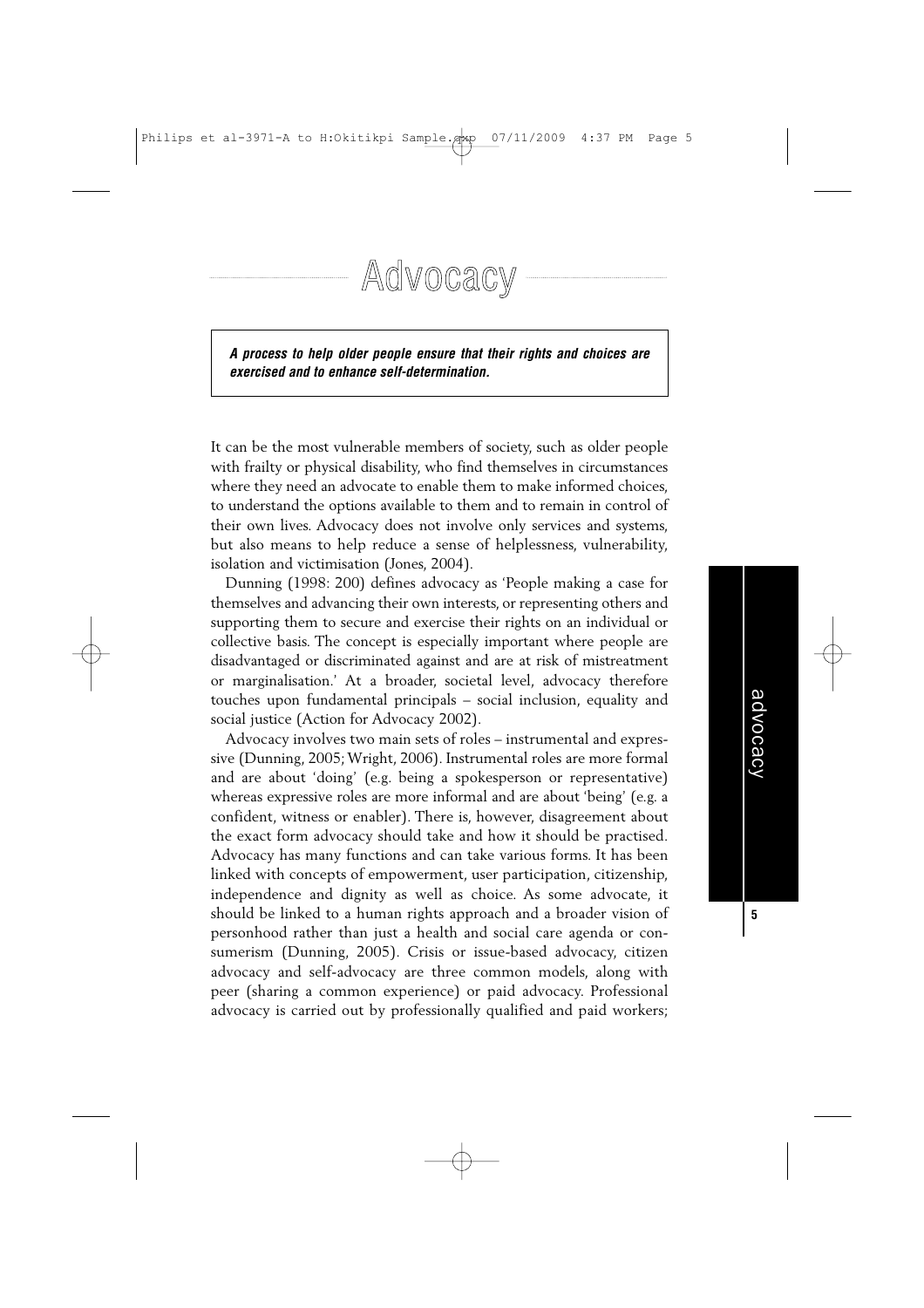## Advocacy

**A process to help older people ensure that their rights and choices are exercised and to enhance self-determination.**

It can be the most vulnerable members of society, such as older people with frailty or physical disability, who find themselves in circumstances where they need an advocate to enable them to make informed choices, to understand the options available to them and to remain in control of their own lives. Advocacy does not involve only services and systems, but also means to help reduce a sense of helplessness, vulnerability, isolation and victimisation (Jones, 2004).

Dunning (1998: 200) defines advocacy as 'People making a case for themselves and advancing their own interests, or representing others and supporting them to secure and exercise their rights on an individual or collective basis. The concept is especially important where people are disadvantaged or discriminated against and are at risk of mistreatment or marginalisation.' At a broader, societal level, advocacy therefore touches upon fundamental principals – social inclusion, equality and social justice (Action for Advocacy 2002).

Advocacy involves two main sets of roles – instrumental and expressive (Dunning, 2005; Wright, 2006). Instrumental roles are more formal and are about 'doing' (e.g. being a spokesperson or representative) whereas expressive roles are more informal and are about 'being' (e.g. a confident, witness or enabler). There is, however, disagreement about the exact form advocacy should take and how it should be practised. Advocacy has many functions and can take various forms. It has been linked with concepts of empowerment, user participation, citizenship, independence and dignity as well as choice. As some advocate, it should be linked to a human rights approach and a broader vision of personhood rather than just a health and social care agenda or consumerism (Dunning, 2005). Crisis or issue-based advocacy, citizen advocacy and self-advocacy are three common models, along with peer (sharing a common experience) or paid advocacy. Professional advocacy is carried out by professionally qualified and paid workers;

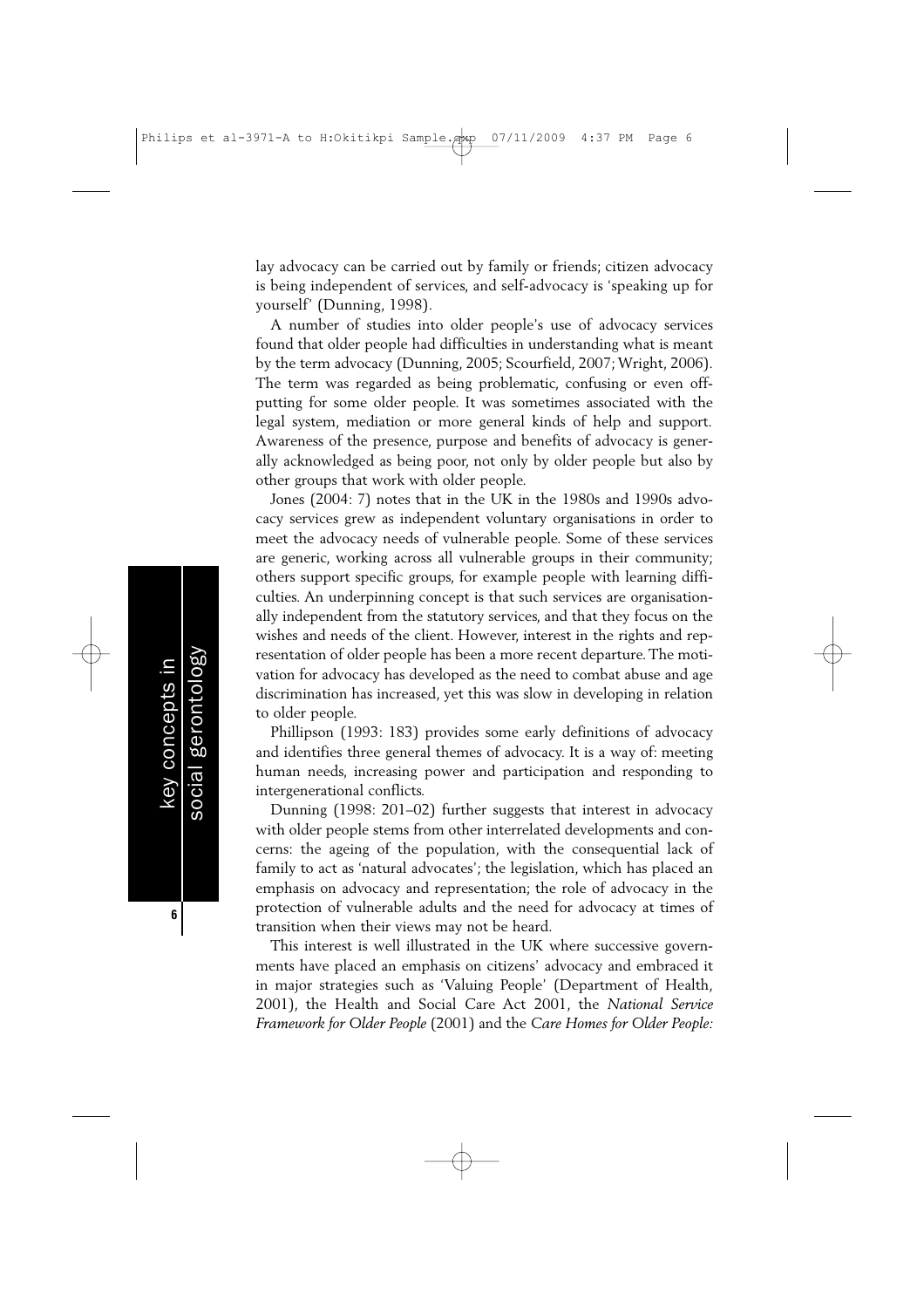lay advocacy can be carried out by family or friends; citizen advocacy is being independent of services, and self-advocacy is 'speaking up for yourself' (Dunning, 1998).

A number of studies into older people's use of advocacy services found that older people had difficulties in understanding what is meant by the term advocacy (Dunning, 2005; Scourfield, 2007; Wright, 2006). The term was regarded as being problematic, confusing or even offputting for some older people. It was sometimes associated with the legal system, mediation or more general kinds of help and support*.* Awareness of the presence, purpose and benefits of advocacy is generally acknowledged as being poor, not only by older people but also by other groups that work with older people.

Jones (2004: 7) notes that in the UK in the 1980s and 1990s advocacy services grew as independent voluntary organisations in order to meet the advocacy needs of vulnerable people. Some of these services are generic, working across all vulnerable groups in their community; others support specific groups, for example people with learning difficulties. An underpinning concept is that such services are organisationally independent from the statutory services, and that they focus on the wishes and needs of the client. However, interest in the rights and representation of older people has been a more recent departure. The motivation for advocacy has developed as the need to combat abuse and age discrimination has increased, yet this was slow in developing in relation to older people.

Phillipson (1993: 183) provides some early definitions of advocacy and identifies three general themes of advocacy. It is a way of: meeting human needs, increasing power and participation and responding to intergenerational conflicts.

Dunning (1998: 201–02) further suggests that interest in advocacy with older people stems from other interrelated developments and concerns: the ageing of the population, with the consequential lack of family to act as 'natural advocates'; the legislation, which has placed an emphasis on advocacy and representation; the role of advocacy in the protection of vulnerable adults and the need for advocacy at times of transition when their views may not be heard.

This interest is well illustrated in the UK where successive governments have placed an emphasis on citizens' advocacy and embraced it in major strategies such as 'Valuing People' (Department of Health, 2001), the Health and Social Care Act 2001, the *National Service Framework for Older People* (2001) and the *Care Homes for Older People:*

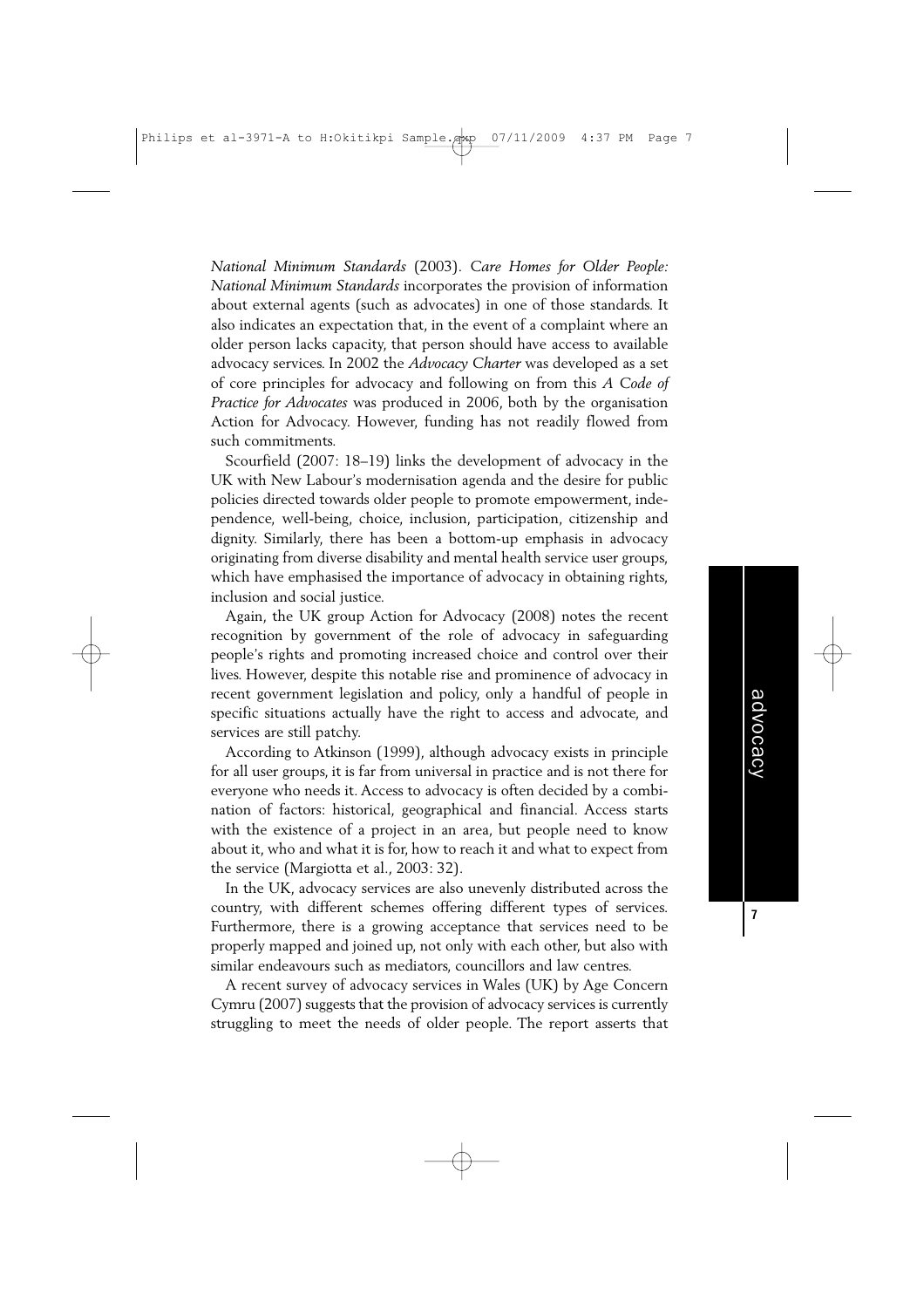Philips et al-3971-A to H:Okitikpi Sample. $\rho$ xp 07/11/2009 4:37

*National Minimum Standards* (2003). *Care Homes for Older People: National Minimum Standards* incorporates the provision of information about external agents (such as advocates) in one of those standards. It also indicates an expectation that, in the event of a complaint where an older person lacks capacity, that person should have access to available advocacy services. In 2002 the *Advocacy Charter* was developed as a set of core principles for advocacy and following on from this *A Code of Practice for Advocates* was produced in 2006, both by the organisation Action for Advocacy. However, funding has not readily flowed from such commitments.

Scourfield (2007: 18–19) links the development of advocacy in the UK with New Labour's modernisation agenda and the desire for public policies directed towards older people to promote empowerment, independence, well-being, choice, inclusion, participation, citizenship and dignity. Similarly, there has been a bottom-up emphasis in advocacy originating from diverse disability and mental health service user groups, which have emphasised the importance of advocacy in obtaining rights, inclusion and social justice.

Again, the UK group Action for Advocacy (2008) notes the recent recognition by government of the role of advocacy in safeguarding people's rights and promoting increased choice and control over their lives. However, despite this notable rise and prominence of advocacy in recent government legislation and policy, only a handful of people in specific situations actually have the right to access and advocate, and services are still patchy.

According to Atkinson (1999), although advocacy exists in principle for all user groups, it is far from universal in practice and is not there for everyone who needs it. Access to advocacy is often decided by a combination of factors: historical, geographical and financial. Access starts with the existence of a project in an area, but people need to know about it, who and what it is for, how to reach it and what to expect from the service (Margiotta et al., 2003: 32).

In the UK, advocacy services are also unevenly distributed across the country, with different schemes offering different types of services. Furthermore, there is a growing acceptance that services need to be properly mapped and joined up, not only with each other, but also with similar endeavours such as mediators, councillors and law centres.

A recent survey of advocacy services in Wales (UK) by Age Concern Cymru (2007) suggests that the provision of advocacy services is currently struggling to meet the needs of older people. The report asserts that